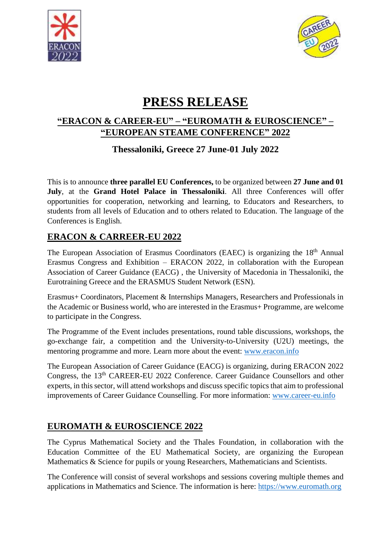



# **PRESS RELEASE**

## **"ERACON & CAREER-EU" – "EUROMATH & EUROSCIENCE" – "EUROPEAN STEAME CONFERENCE" 2022**

**Thessaloniki, Greece 27 June-01 July 2022**

This is to announce **three parallel EU Conferences,** to be organized between **27 June and 01 July**, at the **Grand Hotel Palace in Thessaloniki**. All three Conferences will offer opportunities for cooperation, networking and learning, to Educators and Researchers, to students from all levels of Education and to others related to Education. The language of the Conferences is English.

# **ERACON & CARREER-EU 2022**

The European Association of Erasmus Coordinators (EAEC) is organizing the 18<sup>th</sup> Annual Erasmus Congress and Exhibition – ERACON 2022, in collaboration with the European Association of Career Guidance (EACG) , the University of Macedonia in Thessaloniki, the Eurotraining Greece and the ERASMUS Student Network (ESN).

Erasmus+ Coordinators, Placement & Internships Managers, Researchers and Professionals in the Academic or Business world, who are interested in the Erasmus+ Programme, are welcome to participate in the Congress.

The Programme of the Event includes presentations, round table discussions, workshops, the go-exchange fair, a competition and the University-to-University (U2U) meetings, the mentoring programme and more. Learn more about the event: [www.eracon.info](http://www.eracon.info/)

The European Association of Career Guidance (EACG) is organizing, during ERACON 2022 Congress, the 13<sup>th</sup> CAREER-EU 2022 Conference. Career Guidance Counsellors and other experts, in this sector, will attend workshops and discuss specific topics that aim to professional improvements of Career Guidance Counselling. For more information: [www.career-eu.info](http://www.career-eu.info/)

## **EUROMATH & EUROSCIENCE 2022**

The Cyprus Mathematical Society and the Thales Foundation, in collaboration with the Education Committee of the EU Mathematical Society, are organizing the European Mathematics & Science for pupils or young Researchers, Mathematicians and Scientists.

The Conference will consist of several workshops and sessions covering multiple themes and applications in Mathematics and Science. The information is here: [https://www.euromath.org](https://www.euromath.org/)